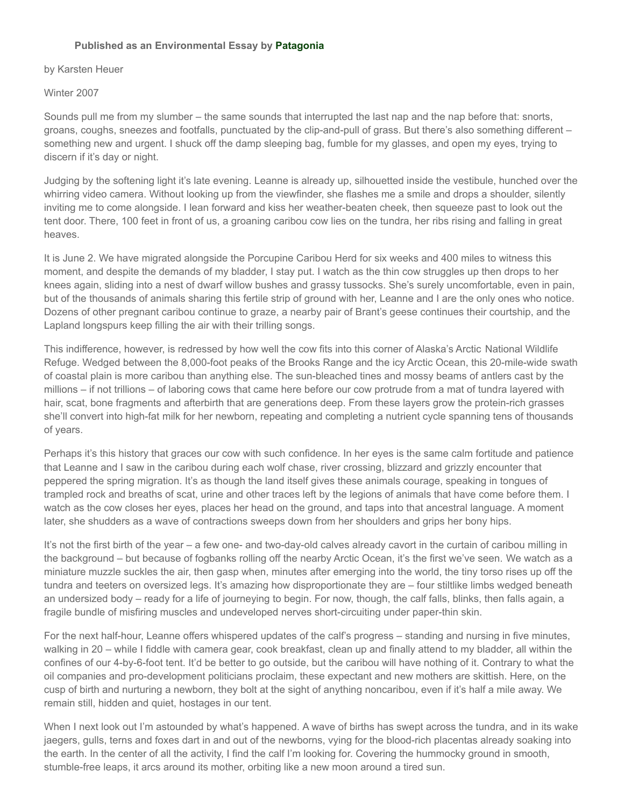## **Published as an Environmental Essay by [Patagonia](http://www.patagonia.com/)**

## by Karsten Heuer

## Winter 2007

Sounds pull me from my slumber – the same sounds that interrupted the last nap and the nap before that: snorts, groans, coughs, sneezes and footfalls, punctuated by the clip-and-pull of grass. But there's also something different – something new and urgent. I shuck off the damp sleeping bag, fumble for my glasses, and open my eyes, trying to discern if it's day or night.

Judging by the softening light it's late evening. Leanne is already up, silhouetted inside the vestibule, hunched over the whirring video camera. Without looking up from the viewfinder, she flashes me a smile and drops a shoulder, silently inviting me to come alongside. I lean forward and kiss her weather-beaten cheek, then squeeze past to look out the tent door. There, 100 feet in front of us, a groaning caribou cow lies on the tundra, her ribs rising and falling in great heaves.

It is June 2. We have migrated alongside the Porcupine Caribou Herd for six weeks and 400 miles to witness this moment, and despite the demands of my bladder, I stay put. I watch as the thin cow struggles up then drops to her knees again, sliding into a nest of dwarf willow bushes and grassy tussocks. She's surely uncomfortable, even in pain, but of the thousands of animals sharing this fertile strip of ground with her, Leanne and I are the only ones who notice. Dozens of other pregnant caribou continue to graze, a nearby pair of Brant's geese continues their courtship, and the Lapland longspurs keep filling the air with their trilling songs.

This indifference, however, is redressed by how well the cow fits into this corner of Alaska's Arctic National Wildlife Refuge. Wedged between the 8,000-foot peaks of the Brooks Range and the icy Arctic Ocean, this 20-mile-wide swath of coastal plain is more caribou than anything else. The sun-bleached tines and mossy beams of antlers cast by the millions – if not trillions – of laboring cows that came here before our cow protrude from a mat of tundra layered with hair, scat, bone fragments and afterbirth that are generations deep. From these layers grow the protein-rich grasses she'll convert into high-fat milk for her newborn, repeating and completing a nutrient cycle spanning tens of thousands of years.

Perhaps it's this history that graces our cow with such confidence. In her eyes is the same calm fortitude and patience that Leanne and I saw in the caribou during each wolf chase, river crossing, blizzard and grizzly encounter that peppered the spring migration. It's as though the land itself gives these animals courage, speaking in tongues of trampled rock and breaths of scat, urine and other traces left by the legions of animals that have come before them. I watch as the cow closes her eyes, places her head on the ground, and taps into that ancestral language. A moment later, she shudders as a wave of contractions sweeps down from her shoulders and grips her bony hips.

It's not the first birth of the year – a few one- and two-day-old calves already cavort in the curtain of caribou milling in the background – but because of fogbanks rolling off the nearby Arctic Ocean, it's the first we've seen. We watch as a miniature muzzle suckles the air, then gasp when, minutes after emerging into the world, the tiny torso rises up off the tundra and teeters on oversized legs. It's amazing how disproportionate they are – four stiltlike limbs wedged beneath an undersized body – ready for a life of journeying to begin. For now, though, the calf falls, blinks, then falls again, a fragile bundle of misfiring muscles and undeveloped nerves short-circuiting under paper-thin skin.

For the next half-hour, Leanne offers whispered updates of the calf's progress – standing and nursing in five minutes, walking in 20 – while I fiddle with camera gear, cook breakfast, clean up and finally attend to my bladder, all within the confines of our 4-by-6-foot tent. It'd be better to go outside, but the caribou will have nothing of it. Contrary to what the oil companies and pro-development politicians proclaim, these expectant and new mothers are skittish. Here, on the cusp of birth and nurturing a newborn, they bolt at the sight of anything noncaribou, even if it's half a mile away. We remain still, hidden and quiet, hostages in our tent.

When I next look out I'm astounded by what's happened. A wave of births has swept across the tundra, and in its wake jaegers, gulls, terns and foxes dart in and out of the newborns, vying for the blood-rich placentas already soaking into the earth. In the center of all the activity, I find the calf I'm looking for. Covering the hummocky ground in smooth, stumble-free leaps, it arcs around its mother, orbiting like a new moon around a tired sun.